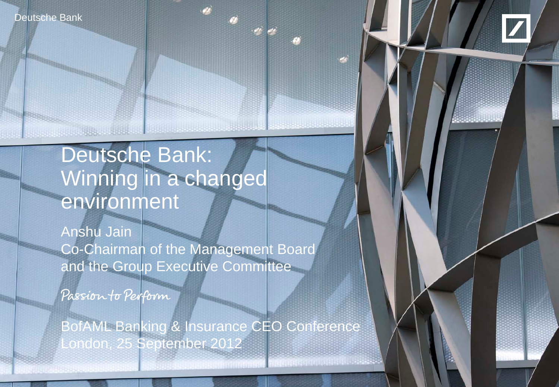Deutsche Bank

Deutsche Bank Investor Relations



# Deutsche Bank: Winning in a changed environment

Anshu Jain Co-Chairman of the Management Board and the Group Executive Committee

Passion to Perform

BofAML Banking & Insurance CEO Conference London, 25 September 2012

BofAML Conference, 25 September 2012

Anshu Jain financial transparency in the control of the control of the control of the control of the control of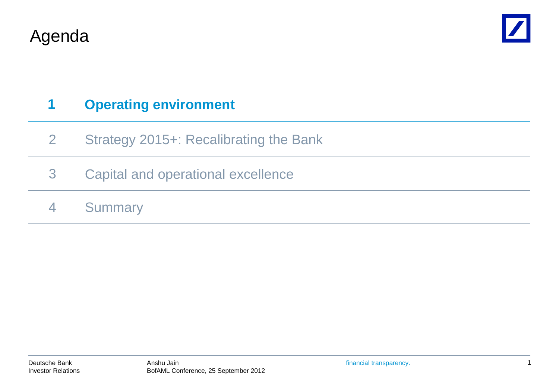



#### **1 Operating environment**

- Strategy 2015+: Recalibrating the Bank 2
- 3 Capital and operational excellence
- **Summary** 4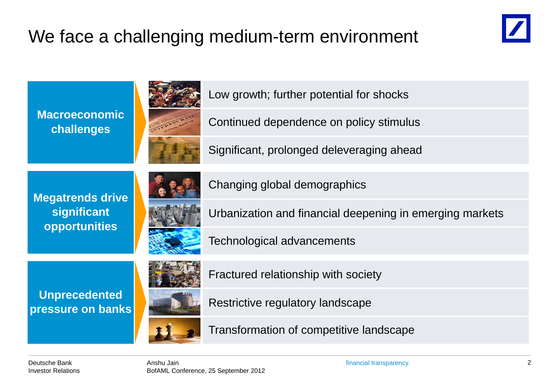# We face a challenging medium-term environment



**Macroeconomic challenges**



Low growth; further potential for shocks

Continued dependence on policy stimulus

Significant, prolonged deleveraging ahead

**Megatrends drive significant opportunities**



Changing global demographics

Urbanization and financial deepening in emerging markets

Technological advancements

**Unprecedented pressure on banks**



Fractured relationship with society

Restrictive regulatory landscape



Transformation of competitive landscape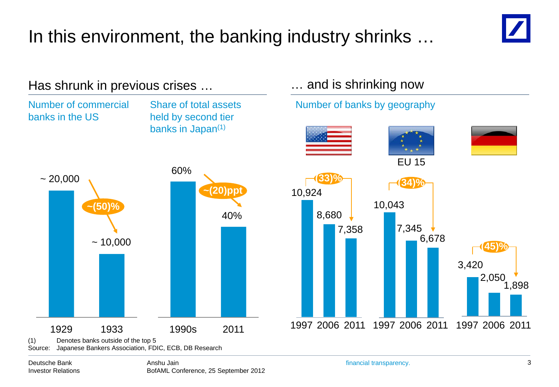# In this environment, the banking industry shrinks …



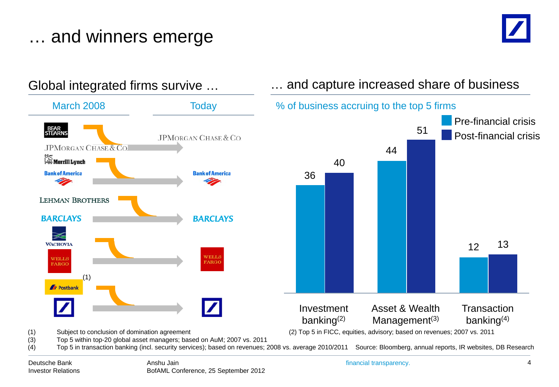# … and winners emerge

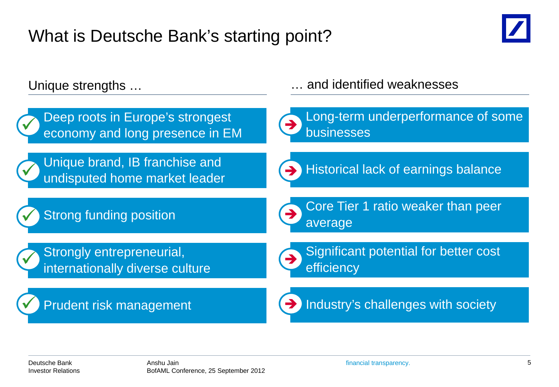# What is Deutsche Bank's starting point?



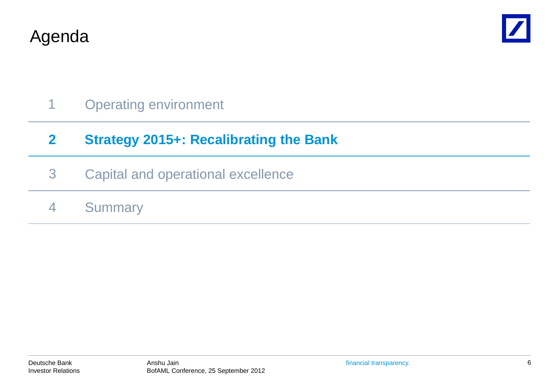Agenda



#### 1 Operating environment

#### **Strategy 2015+: Recalibrating the Bank 2**

- 3 Capital and operational excellence
- **Summary** 4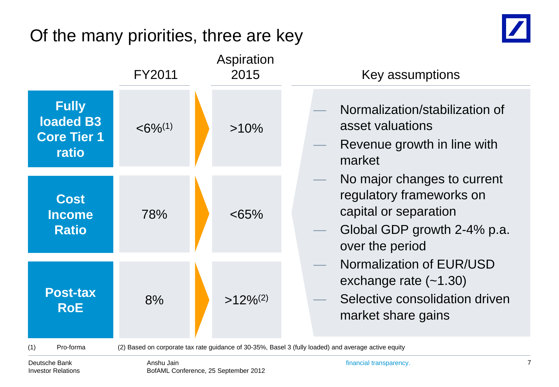## Of the many priorities, three are key



|                                                                 | FY2011     | Aspiration<br>2015 | Key assumptions                                                                                                                    |
|-----------------------------------------------------------------|------------|--------------------|------------------------------------------------------------------------------------------------------------------------------------|
| <b>Fully</b><br><b>loaded B3</b><br><b>Core Tier 1</b><br>ratio | $<6\%/1)$  | $>10\%$            | Normalization/stabilization of<br>asset valuations<br>Revenue growth in line with<br>market                                        |
| <b>Cost</b><br><b>Income</b><br><b>Ratio</b>                    | 78%        | $&55\%$            | No major changes to current<br>regulatory frameworks on<br>capital or separation<br>Global GDP growth 2-4% p.a.<br>over the period |
| <b>Post-tax</b><br><b>RoE</b>                                   | 8%         | $>12\%/2}$         | Normalization of EUR/USD<br>exchange rate $(-1.30)$<br>Selective consolidation driven<br>market share gains                        |
| (1)<br>Pro-forma                                                |            |                    | (2) Based on corporate tax rate guidance of 30-35%, Basel 3 (fully loaded) and average active equity                               |
| Deutsche Bank                                                   | Anshu Jain |                    | financial transparency.                                                                                                            |

BofAML Conference, 25 September 2012

Investor Relations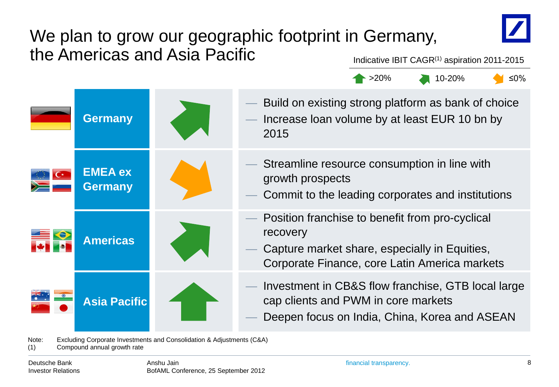# We plan to grow our geographic footprint in Germany, the Americas and Asia Pacific



Indicative IBIT CAGR(1) aspiration 2011-2015

>20% 10-20% ≤0%



Note: Excluding Corporate Investments and Consolidation & Adjustments (C&A) (1) Compound annual growth rate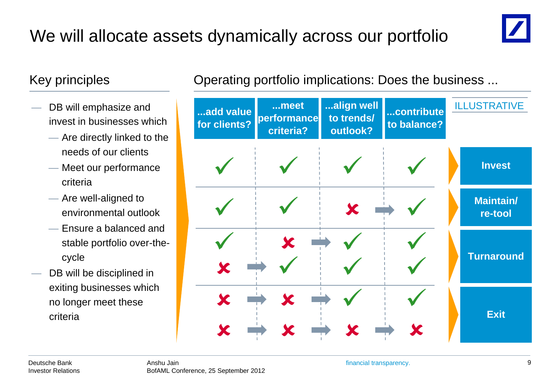# We will allocate assets dynamically across our portfolio



- DB will emphasize and invest in businesses which
	- Are directly linked to the needs of our clients
	- Meet our performance criteria
	- Are well-aligned to environmental outlook
	- Ensure a balanced and stable portfolio over-thecycle
- DB will be disciplined in exiting businesses which no longer meet these criteria

#### Key principles **Conducting portfolio implications:** Does the business ...

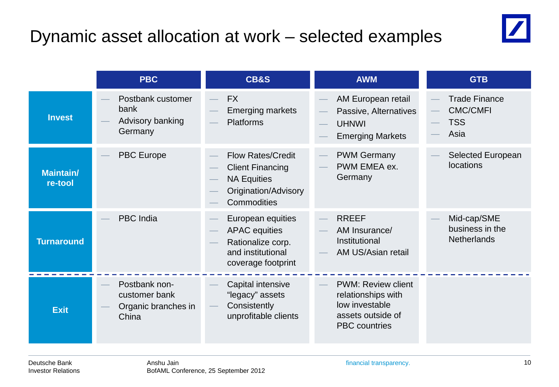## Dynamic asset allocation at work – selected examples



|                             | <b>PBC</b>                                                     | <b>CB&amp;S</b>                                                                                                  | <b>AWM</b>                                                                                                     | <b>GTB</b>                                                    |  |
|-----------------------------|----------------------------------------------------------------|------------------------------------------------------------------------------------------------------------------|----------------------------------------------------------------------------------------------------------------|---------------------------------------------------------------|--|
| <b>Invest</b>               | Postbank customer<br>bank<br>Advisory banking<br>Germany       | <b>FX</b><br><b>Emerging markets</b><br><b>Platforms</b>                                                         | AM European retail<br>Passive, Alternatives<br><b>UHNWI</b><br><b>Emerging Markets</b>                         | <b>Trade Finance</b><br><b>CMC/CMFI</b><br><b>TSS</b><br>Asia |  |
| <b>Maintain/</b><br>re-tool | <b>PBC</b> Europe                                              | <b>Flow Rates/Credit</b><br><b>Client Financing</b><br><b>NA Equities</b><br>Origination/Advisory<br>Commodities | <b>PWM Germany</b><br>PWM EMEA ex.<br>Germany                                                                  | Selected European<br>locations                                |  |
| <b>Turnaround</b>           | PBC India                                                      | European equities<br><b>APAC</b> equities<br>Rationalize corp.<br>and institutional<br>coverage footprint        | <b>RREEF</b><br>AM Insurance/<br>Institutional<br>AM US/Asian retail                                           | Mid-cap/SME<br>business in the<br><b>Netherlands</b>          |  |
| <b>Exit</b>                 | Postbank non-<br>customer bank<br>Organic branches in<br>China | Capital intensive<br>"legacy" assets<br>Consistently<br>unprofitable clients                                     | <b>PWM: Review client</b><br>relationships with<br>low investable<br>assets outside of<br><b>PBC</b> countries |                                                               |  |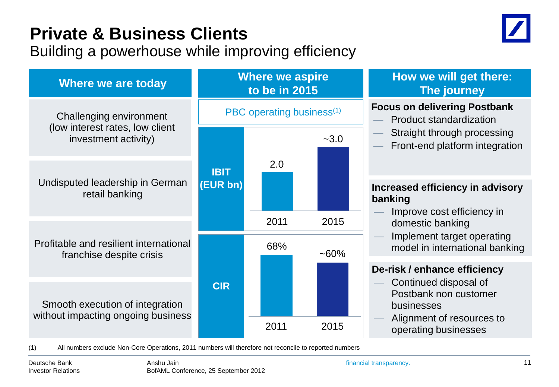# **Private & Business Clients**



(1) All numbers exclude Non-Core Operations, 2011 numbers will therefore not reconcile to reported numbers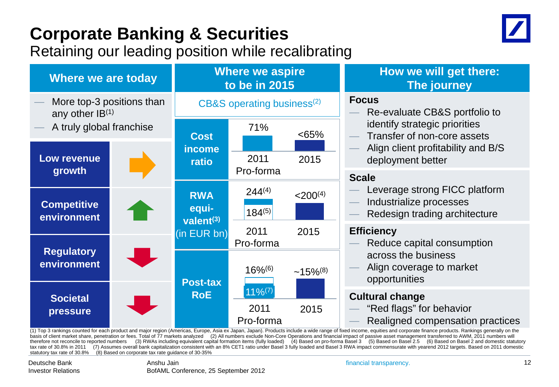# **Corporate Banking & Securities**



Retaining our leading position while recalibrating



(1) Top 3 rankings counted for each product and major region (Americas, Europe, Asia ex Japan, Japan). Products include a wide range of fixed income, equities and corporate finance products. Rankings generally on the basis of client market share, penetration or fees. Total of 77 markets analyzed (2) All numbers exclude Non-Core Operations and financial impact of passive asset management transferred to AWM, 2011 numbers will therefore n (3) RWAs including equivalent capital formation items (fully loaded) (4) Based on pro-forma Basel 3 (5) Based on Basel 2.5 (6) Based on Basel 2 and domestic statutory tax rate of 30.8% in 2011 (7) Assumes overall bank capitalization consistent with an 8% CET1 ratio under Basel 3 fully loaded and Basel 3 RWA impact commensurate with yearend 2012 targets. Based on 2011 domestic<br>statutory  $(8)$  Based on corporate tax rate guidance of 30-35%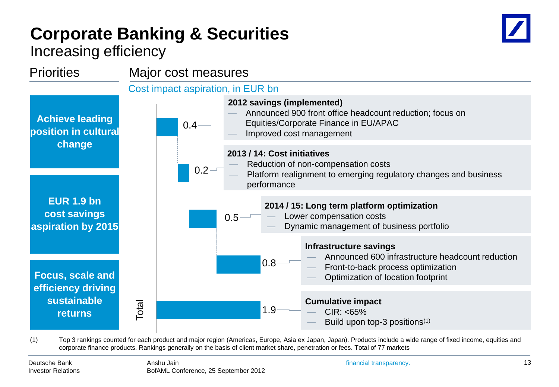# **Corporate Banking & Securities**



#### Increasing efficiency



(1) Top 3 rankings counted for each product and major region (Americas, Europe, Asia ex Japan, Japan). Products include a wide range of fixed income, equities and corporate finance products. Rankings generally on the basis of client market share, penetration or fees. Total of 77 markets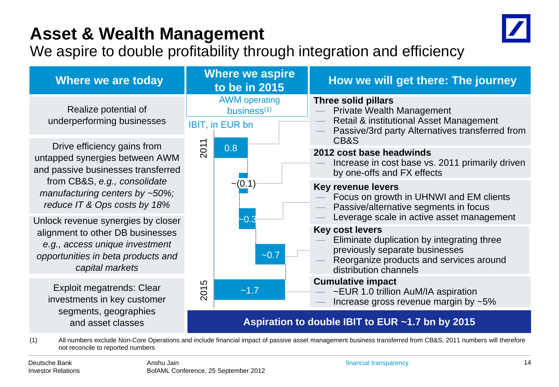# **Asset & Wealth Management**



We aspire to double profitability through integration and efficiency

| <b>Where we are today</b>                                                                                                                                         | <b>Where we aspire</b><br>to be in 2015                                   | How we will get there: The journey                                                                                                                                         |
|-------------------------------------------------------------------------------------------------------------------------------------------------------------------|---------------------------------------------------------------------------|----------------------------------------------------------------------------------------------------------------------------------------------------------------------------|
| Realize potential of<br>underperforming businesses                                                                                                                | <b>AWM</b> operating<br>business <sup>(1)</sup><br><b>IBIT, in EUR bn</b> | Three solid pillars<br><b>Private Wealth Management</b><br>Retail & institutional Asset Management<br>Passive/3rd party Alternatives transferred from                      |
| Drive efficiency gains from<br>untapped synergies between AWM<br>and passive businesses transferred                                                               | $201$ <sup>-</sup><br>0.8                                                 | CB&S<br>2012 cost base headwinds<br>Increase in cost base vs. 2011 primarily driven<br>by one-offs and FX effects                                                          |
| from CB&S, e.g., consolidate<br>manufacturing centers by $~50\%$ ;<br>reduce IT & Ops costs by 18%                                                                | $\sim (0.1)$<br>$-0.3$                                                    | <b>Key revenue levers</b><br>Focus on growth in UHNWI and EM clients<br>Passive/alternative segments in focus<br>Leverage scale in active asset management                 |
| Unlock revenue synergies by closer<br>alignment to other DB businesses<br>e.g., access unique investment<br>opportunities in beta products and<br>capital markets | $-0.7$                                                                    | <b>Key cost levers</b><br>Eliminate duplication by integrating three<br>previously separate businesses<br>Reorganize products and services around<br>distribution channels |
| <b>Exploit megatrends: Clear</b><br>investments in key customer<br>segments, geographies                                                                          | LO<br>201<br>~1.7                                                         | <b>Cumulative impact</b><br>~EUR 1.0 trillion AuM/IA aspiration<br>Increase gross revenue margin by $~5\%$                                                                 |
|                                                                                                                                                                   |                                                                           |                                                                                                                                                                            |

#### **Aspiration to double IBIT to EUR ~1.7 bn by 2015**

(1) All numbers exclude Non-Core Operations and include financial impact of passive asset management business transferred from CB&S, 2011 numbers will therefore not reconcile to reported numbers

Deutsche Bank Investor Relations

and asset classes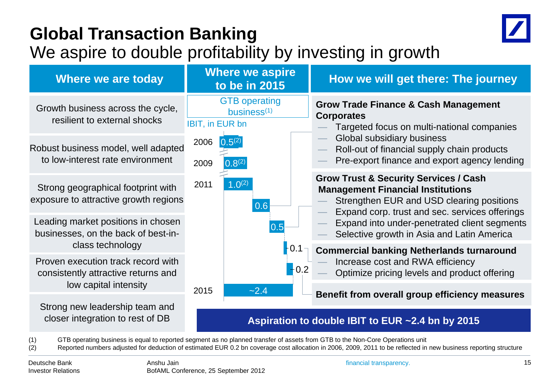# **Global Transaction Banking**





(1) GTB operating business is equal to reported segment as no planned transfer of assets from GTB to the Non-Core Operations unit

(2) Reported numbers adjusted for deduction of estimated EUR 0.2 bn coverage cost allocation in 2006, 2009, 2011 to be reflected in new business reporting structure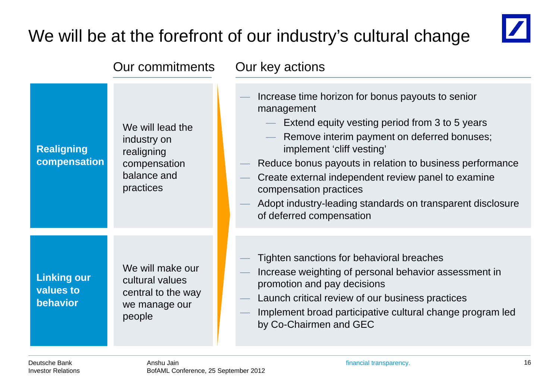# We will be at the forefront of our industry's cultural change



|                                             | Our commitments                                                                           | Our key actions                                                                                                                                                                                                                                                                                                                                                                                                                      |
|---------------------------------------------|-------------------------------------------------------------------------------------------|--------------------------------------------------------------------------------------------------------------------------------------------------------------------------------------------------------------------------------------------------------------------------------------------------------------------------------------------------------------------------------------------------------------------------------------|
| <b>Realigning</b><br>compensation           | We will lead the<br>industry on<br>realigning<br>compensation<br>balance and<br>practices | Increase time horizon for bonus payouts to senior<br>management<br>Extend equity vesting period from 3 to 5 years<br>Remove interim payment on deferred bonuses;<br>implement 'cliff vesting'<br>Reduce bonus payouts in relation to business performance<br>Create external independent review panel to examine<br>compensation practices<br>Adopt industry-leading standards on transparent disclosure<br>of deferred compensation |
| <b>Linking our</b><br>values to<br>behavior | We will make our<br>cultural values<br>central to the way<br>we manage our<br>people      | Tighten sanctions for behavioral breaches<br>Increase weighting of personal behavior assessment in<br>promotion and pay decisions<br>Launch critical review of our business practices<br>Implement broad participative cultural change program led<br>by Co-Chairmen and GEC                                                                                                                                                         |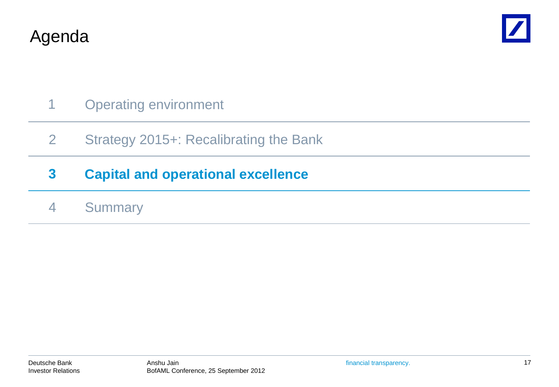#### Agenda



- 1 Operating environment
- Strategy 2015+: Recalibrating the Bank 2
- **3 Capital and operational excellence**
- **Summary** 4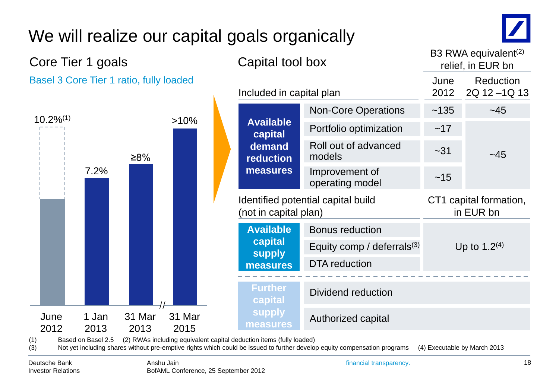# We will realize our capital goals organically



| Core Tier 1 goals                       |                    | Capital tool box                  |                                | B3 RWA equivalent <sup>(2)</sup><br>relief, in EUR bn                |                                     |                |  |
|-----------------------------------------|--------------------|-----------------------------------|--------------------------------|----------------------------------------------------------------------|-------------------------------------|----------------|--|
| Basel 3 Core Tier 1 ratio, fully loaded |                    | Included in capital plan          |                                | June<br>2012                                                         | <b>Reduction</b><br>2Q 12-1Q 13     |                |  |
|                                         |                    |                                   | <b>Non-Core Operations</b>     | ~135                                                                 | ~145                                |                |  |
| $10.2\%^{(1)}$                          |                    |                                   | $>10\%$                        | <b>Available</b><br>capital                                          | Portfolio optimization              | ~17            |  |
| $≥8%$                                   |                    | demand<br><b>reduction</b>        | Roll out of advanced<br>models | $-31$                                                                | ~145                                |                |  |
| 7.2%                                    | measures           | Improvement of<br>operating model | ~15                            |                                                                      |                                     |                |  |
|                                         |                    |                                   | (not in capital plan)          | Identified potential capital build                                   | CT1 capital formation,<br>in EUR bn |                |  |
|                                         |                    |                                   |                                | <b>Available</b>                                                     | <b>Bonus reduction</b>              |                |  |
|                                         |                    |                                   |                                | capital<br><b>supply</b>                                             | Equity comp / deferrals $(3)$       | Up to $1.2(4)$ |  |
|                                         |                    |                                   | measures                       | <b>DTA</b> reduction                                                 |                                     |                |  |
|                                         |                    |                                   |                                | <b>Further</b><br>capital                                            | Dividend reduction                  |                |  |
| June<br>2012                            | 1 Jan<br>2013      | 31 Mar<br>2013                    | 31 Mar<br>2015                 | supply<br>measures                                                   | Authorized capital                  |                |  |
| (1)                                     | Based on Basel 2.5 |                                   |                                | (2) RWAs including equivalent capital deduction items (fully loaded) |                                     |                |  |

(3) Not yet including shares without pre-emptive rights which could be issued to further develop equity compensation programs (4) Executable by March 2013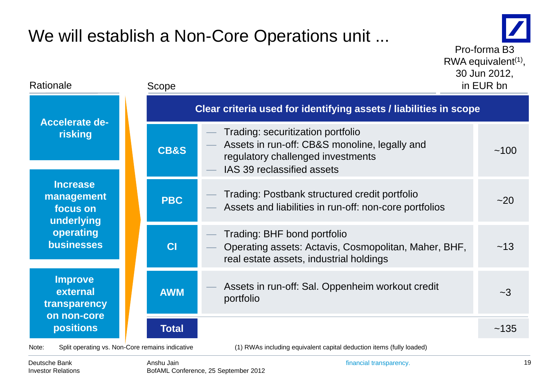# We will establish a Non-Core Operations unit ...



| Rationale                                                 | Scope           |                                                                                                                                                       | in EUR bn |  |  |  |  |
|-----------------------------------------------------------|-----------------|-------------------------------------------------------------------------------------------------------------------------------------------------------|-----------|--|--|--|--|
|                                                           |                 | Clear criteria used for identifying assets / liabilities in scope                                                                                     |           |  |  |  |  |
| Accelerate de-<br><b>risking</b>                          | <b>CB&amp;S</b> | Trading: securitization portfolio<br>Assets in run-off: CB&S monoline, legally and<br>regulatory challenged investments<br>IAS 39 reclassified assets | ~100      |  |  |  |  |
| <b>Increase</b><br>management<br>focus on<br>underlying   | <b>PBC</b>      | Trading: Postbank structured credit portfolio<br>Assets and liabilities in run-off: non-core portfolios                                               | ~20       |  |  |  |  |
| operating<br><b>businesses</b>                            | CI              | Trading: BHF bond portfolio<br>Operating assets: Actavis, Cosmopolitan, Maher, BHF,<br>real estate assets, industrial holdings                        | ~13       |  |  |  |  |
| <b>Improve</b><br>external<br>transparency<br>on non-core | <b>AWM</b>      | Assets in run-off: Sal. Oppenheim workout credit<br>portfolio                                                                                         | $\sim$ 3  |  |  |  |  |
| <b>positions</b>                                          | <b>Total</b>    |                                                                                                                                                       | ~135      |  |  |  |  |
| Split operating vs. Non-Core remains indicative<br>Note:  |                 | (1) RWAs including equivalent capital deduction items (fully loaded)                                                                                  |           |  |  |  |  |

Deutsche Bank Investor Relations Anshu Jain **Financial** transparency. BofAML Conference, 25 September 2012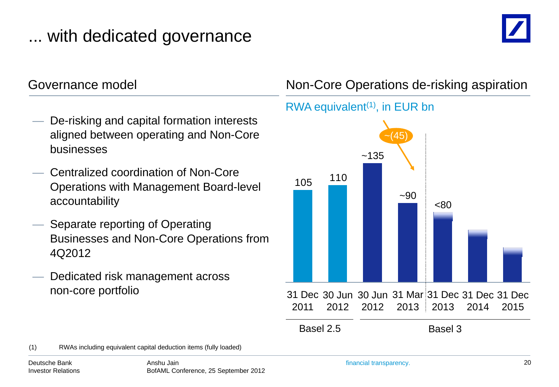# ... with dedicated governance



- De-risking and capital formation interests aligned between operating and Non-Core businesses
- Centralized coordination of Non-Core Operations with Management Board-level accountability
- Separate reporting of Operating Businesses and Non-Core Operations from 4Q2012
- Dedicated risk management across non-core portfolio

#### Governance model **Non-Core Operations de-risking aspiration**





(1) RWAs including equivalent capital deduction items (fully loaded)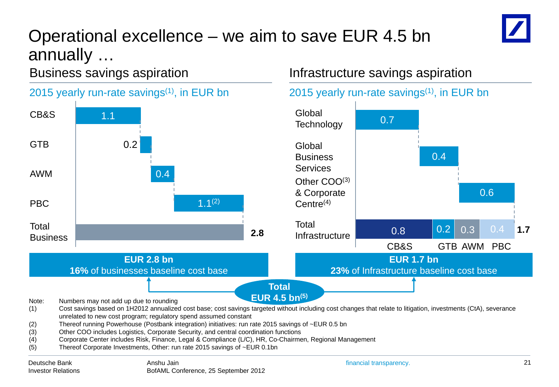## Operational excellence – we aim to save EUR 4.5 bn annually …





- (2) Thereof running Powerhouse (Postbank integration) initiatives: run rate 2015 savings of ~EUR 0.5 bn
- (3) Other COO includes Logistics, Corporate Security, and central coordination functions
- (4) Corporate Center includes Risk, Finance, Legal & Compliance (L/C), HR, Co-Chairmen, Regional Management
- (5) Thereof Corporate Investments, Other: run rate 2015 savings of ~EUR 0.1bn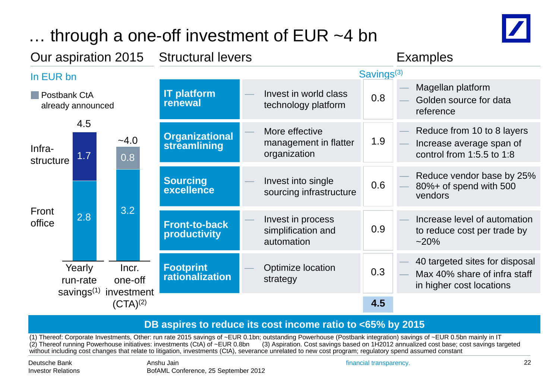# … through a one-off investment of EUR ~4 bn



| Our aspiration 2015                            |                                     | <b>Structural levers</b>       |                                       |                                               |                                                         | <b>Examples</b>                                                |                                                                                            |  |
|------------------------------------------------|-------------------------------------|--------------------------------|---------------------------------------|-----------------------------------------------|---------------------------------------------------------|----------------------------------------------------------------|--------------------------------------------------------------------------------------------|--|
| In EUR bn<br>Postbank CtA<br>already announced |                                     |                                | Savings <sup>(3)</sup>                |                                               |                                                         |                                                                |                                                                                            |  |
|                                                |                                     | <b>IT platform</b><br>renewal  |                                       | Invest in world class<br>technology platform  | 0.8                                                     | Magellan platform<br>Golden source for data<br>reference       |                                                                                            |  |
| Infra-<br>structure                            | 4.5<br>1.7                          | $-4.0$<br>0.8                  | <b>Organizational</b><br>streamlining |                                               | More effective<br>management in flatter<br>organization | 1.9                                                            | Reduce from 10 to 8 layers<br>Increase average span of<br>control from 1:5.5 to 1:8        |  |
|                                                |                                     | <b>Sourcing</b><br>excellence  |                                       | Invest into single<br>sourcing infrastructure | 0.6                                                     | Reduce vendor base by 25%<br>80%+ of spend with 500<br>vendors |                                                                                            |  |
| Front<br>office                                | 2.8                                 | 3.2                            | <b>Front-to-back</b><br>productivity  |                                               | Invest in process<br>simplification and<br>automation   | 0.9                                                            | Increase level of automation<br>to reduce cost per trade by<br>$~20\%$                     |  |
|                                                | Yearly<br>run-rate<br>savings $(1)$ | Incr.<br>one-off<br>investment | <b>Footprint</b><br>rationalization   |                                               | Optimize location<br>strategy                           | 0.3                                                            | 40 targeted sites for disposal<br>Max 40% share of infra staff<br>in higher cost locations |  |
|                                                |                                     | $(CTA)^{(2)}$                  |                                       |                                               |                                                         | 4.5                                                            |                                                                                            |  |

#### **DB aspires to reduce its cost income ratio to <65% by 2015**

(1) Thereof: Corporate Investments, Other: run rate 2015 savings of ~EUR 0.1bn; outstanding Powerhouse (Postbank integration) savings of ~EUR 0.5bn mainly in IT (2) Thereof running Powerhouse initiatives: investments (CtA) of ~EUR 0.8bn (3) Aspiration. Cost savings based on 1H2012 annualized cost base; cost savings targeted without including cost changes that relate to litigation, investments (CtA), severance unrelated to new cost program; regulatory spend assumed constant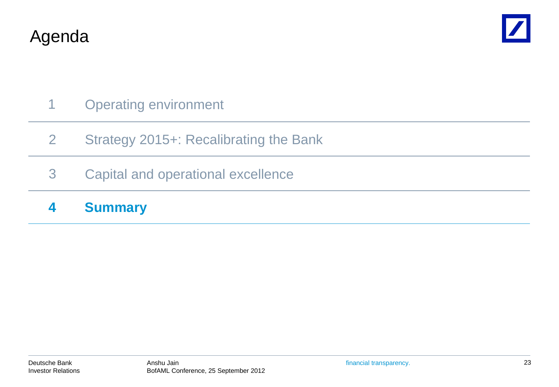#### Agenda



- 1 Operating environment
- Strategy 2015+: Recalibrating the Bank 2
- 3 Capital and operational excellence
- **4 Summary**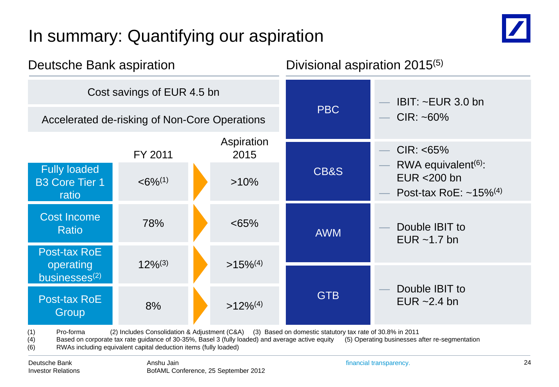# In summary: Quantifying our aspiration



| Deutsche Bank aspiration                                                                                                                                                                                                                                                                                                                                               |                            |                                               | Divisional aspiration 2015 <sup>(5)</sup> |                                                                                                            |  |  |
|------------------------------------------------------------------------------------------------------------------------------------------------------------------------------------------------------------------------------------------------------------------------------------------------------------------------------------------------------------------------|----------------------------|-----------------------------------------------|-------------------------------------------|------------------------------------------------------------------------------------------------------------|--|--|
|                                                                                                                                                                                                                                                                                                                                                                        | Cost savings of EUR 4.5 bn | Accelerated de-risking of Non-Core Operations | <b>PBC</b>                                | $IBIT: \sim$ EUR 3.0 bn<br>$CIR: -60%$                                                                     |  |  |
| <b>Fully loaded</b><br><b>B3 Core Tier 1</b><br>ratio                                                                                                                                                                                                                                                                                                                  | FY 2011<br>$<6\%/1)$       | Aspiration<br>2015<br>$>10\%$                 | CB&S                                      | $CIR: < 65\%$<br>$RWA$ equivalent <sup>(6)</sup> :<br>EUR < 200 bn<br>Post-tax RoE: $~15\%$ <sup>(4)</sup> |  |  |
| <b>Cost Income</b><br>Ratio<br>Post-tax RoE                                                                                                                                                                                                                                                                                                                            | 78%                        | <65%                                          | <b>AWM</b>                                | Double IBIT to<br>EUR $~1.7$ bn                                                                            |  |  |
| operating<br>businesses <sup>(2)</sup><br>Post-tax RoE<br>Group                                                                                                                                                                                                                                                                                                        | $12\%^{(3)}$<br>8%         | $>15\%/4$<br>$>12\%/4$                        | <b>GTB</b>                                | Double IBIT to<br>EUR $~2.4$ bn                                                                            |  |  |
| Pro-forma<br>(2) Includes Consolidation & Adjustment (C&A)<br>(3) Based on domestic statutory tax rate of 30.8% in 2011<br>(1)<br>Based on corporate tax rate guidance of 30-35%, Basel 3 (fully loaded) and average active equity<br>(5) Operating businesses after re-segmentation<br>(4)<br>RWAs including equivalent capital deduction items (fully loaded)<br>(6) |                            |                                               |                                           |                                                                                                            |  |  |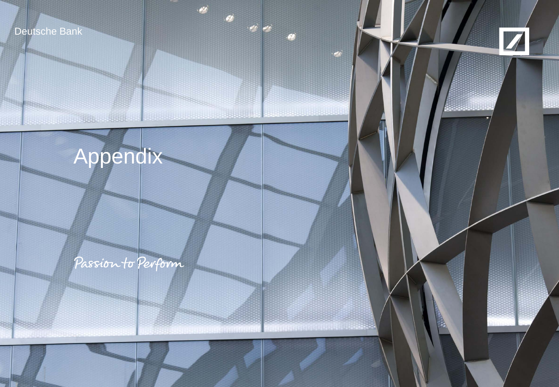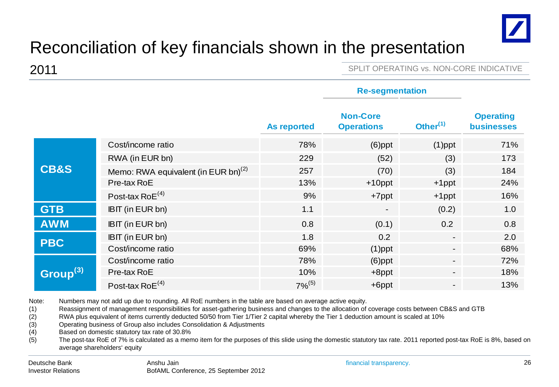

# Reconciliation of key financials shown in the presentation

2011 SPLIT OPERATING vs. NON-CORE INDICATIVE

**Re-segmentation**

|                      |                                                 |                    | <b>Resegnentation</b>                |                          |                                       |
|----------------------|-------------------------------------------------|--------------------|--------------------------------------|--------------------------|---------------------------------------|
|                      |                                                 | <b>As reported</b> | <b>Non-Core</b><br><b>Operations</b> | Other $(1)$              | <b>Operating</b><br><b>businesses</b> |
|                      | Cost/income ratio                               | 78%                | $(6)$ ppt                            | $(1)$ ppt                | 71%                                   |
|                      | RWA (in EUR bn)                                 | 229                | (52)                                 | (3)                      | 173                                   |
| <b>CB&amp;S</b>      | Memo: RWA equivalent (in EUR bn) <sup>(2)</sup> | 257                | (70)                                 | (3)                      | 184                                   |
|                      | Pre-tax RoE                                     | 13%                | $+10$ ppt                            | $+1$ ppt                 | 24%                                   |
|                      | Post-tax Ro $E^{(4)}$                           | 9%                 | $+7$ ppt                             | $+1$ ppt                 | 16%                                   |
| <b>GTB</b>           | IBIT (in EUR bn)                                | 1.1                |                                      | (0.2)                    | 1.0                                   |
| <b>AWM</b>           | IBIT (in EUR bn)                                | 0.8                | (0.1)                                | 0.2                      | 0.8                                   |
| <b>PBC</b>           | IBIT (in EUR bn)                                | 1.8                | 0.2                                  | $\blacksquare$           | 2.0                                   |
|                      | Cost/income ratio                               | 69%                | $(1)$ ppt                            | $\blacksquare$           | 68%                                   |
| Group <sup>(3)</sup> | Cost/income ratio                               | 78%                | $(6)$ ppt                            | $\overline{\phantom{a}}$ | 72%                                   |
|                      | Pre-tax RoE                                     | 10%                | $+8$ ppt                             | $\blacksquare$           | 18%                                   |
|                      | Post-tax Ro $E^{(4)}$                           | $7%^{(5)}$         | $+6$ ppt                             | $\blacksquare$           | 13%                                   |

Note: Numbers may not add up due to rounding. All RoE numbers in the table are based on average active equity.

(1) Reassignment of management responsibilities for asset-gathering business and changes to the allocation of coverage costs between CB&S and GTB

(2) RWA plus equivalent of items currently deducted 50/50 from Tier 1/Tier 2 capital whereby the Tier 1 deduction amount is scaled at 10%

(3) Operating business of Group also includes Consolidation & Adjustments

(4) Based on domestic statutory tax rate of 30.8%

(5) The post-tax RoE of 7% is calculated as a memo item for the purposes of this slide using the domestic statutory tax rate. 2011 reported post-tax RoE is 8%, based on average shareholders' equity